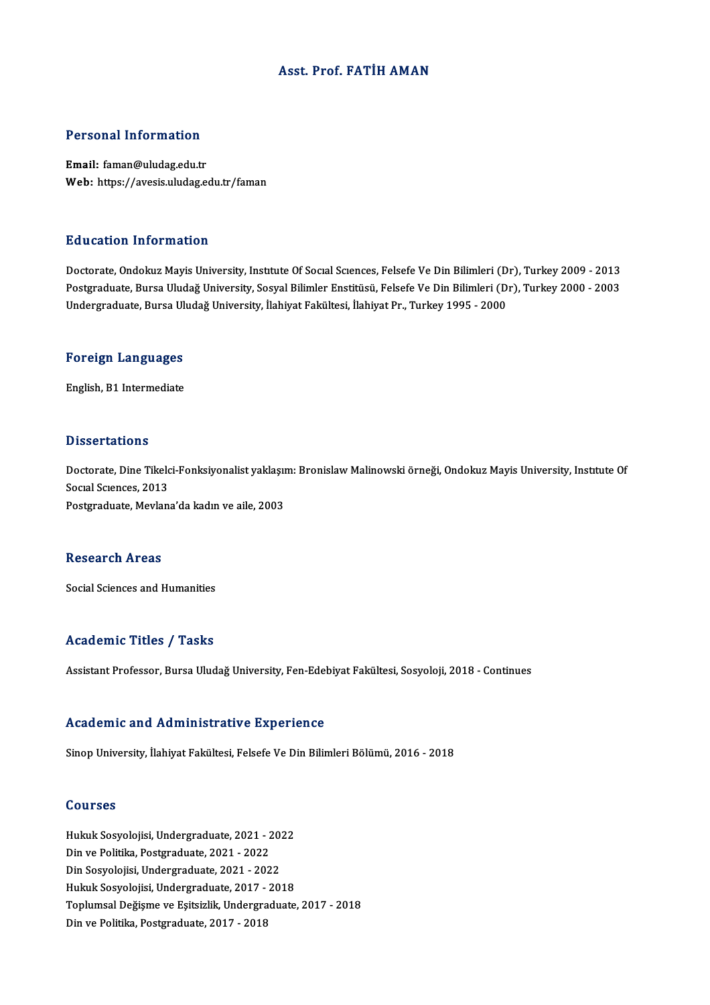### Asst. Prof. FATİH AMAN

### Personal Information

Email: faman@uludag.edu.tr Web: https://avesis.uludag.edu.tr/faman

### Education Information

Education Information<br>Doctorate, Ondokuz Mayis University, Institute Of Social Sciences, Felsefe Ve Din Bilimleri (Dr), Turkey 2009 - 2013<br>Postaraduate Burse Uludeğ University, Sosyal Bilimler Enstitüsü, Felsefe Ve Din Bil Pu u outron Timor inution<br>Doctorate, Ondokuz Mayis University, Institute Of Social Sciences, Felsefe Ve Din Bilimleri (Dr), Turkey 2009 - 2013<br>Postgraduate, Bursa Uludağ University, Sosyal Bilimler Enstitüsü, Felsefe Ve Di Postgraduate, Bursa Uludağ University, Sosyal Bilimler Enstitüsü, Felsefe Ve Din Bilimleri (Dr), Turkey 2000 - 2003<br>Undergraduate, Bursa Uludağ University, İlahiyat Fakültesi, İlahiyat Pr., Turkey 1995 - 2000

# <sub>ondergraduate, bursa of<br>Foreign Languages</sub> F<mark>oreign Languages</mark><br>English, B1 Intermediate

English, B1 Intermediate<br>Dissertations

Dissertations<br>Doctorate, Dine Tikelci-Fonksiyonalist yaklaşım: Bronislaw Malinowski örneği, Ondokuz Mayis University, Instıtute Of<br>Sogral Sgranses, 2013 *Bassa* carrons<br>Doctorate, Dine Tikeld<br>Social Sciences, 2013<br>Bostaraduate, Movien Doctorate, Dine Tikelci-Fonksiyonalist yaklaşır<br>Socıal Scıences, 2013<br>Postgraduate, Mevlana'da kadın ve aile, 2003 Postgraduate, Mevlana'da kadın ve aile, 2003<br>Research Areas

Social Sciences and Humanities

### Academic Titles / Tasks

Assistant Professor, Bursa Uludağ University, Fen-Edebiyat Fakültesi, Sosyoloji, 2018 - Continues

### Academic and Administrative Experience

Sinop University, İlahiyat Fakültesi, Felsefe Ve Din Bilimleri Bölümü, 2016 - 2018

### Courses

Courses<br>Hukuk Sosyolojisi, Undergraduate, 2021 - 2022<br>Din ve Politika Rostanaduate, 2021 - 2022 dourbes<br>Hukuk Sosyolojisi, Undergraduate, 2021 - 2<br>Din ve Politika, Postgraduate, 2021 - 2022<br>Din Sosyolojisi, Undergraduate, 2021 - 202 Hukuk Sosyolojisi, Undergraduate, 2021 - 20.<br>Din ve Politika, Postgraduate, 2021 - 2022<br>Din Sosyolojisi, Undergraduate, 2021 - 2022<br>Hulpik Sosyolojisi, Undergraduate, 2017 - 20. Din ve Politika, Postgraduate, 2021 - 2022<br>Din Sosyolojisi, Undergraduate, 2021 - 2022<br>Hukuk Sosyolojisi, Undergraduate, 2017 - 2018 Din Sosyolojisi, Undergraduate, 2021 - 2022<br>Hukuk Sosyolojisi, Undergraduate, 2017 - 2018<br>Toplumsal Değişme ve Eşitsizlik, Undergraduate, 2017 - 2018<br>Din ve Politika, Rostsraduate, 2017 - 2019 Hukuk Sosyolojisi, Undergraduate, 2017 -<br>Toplumsal Değişme ve Eşitsizlik, Undergra<br>Din ve Politika, Postgraduate, 2017 - 2018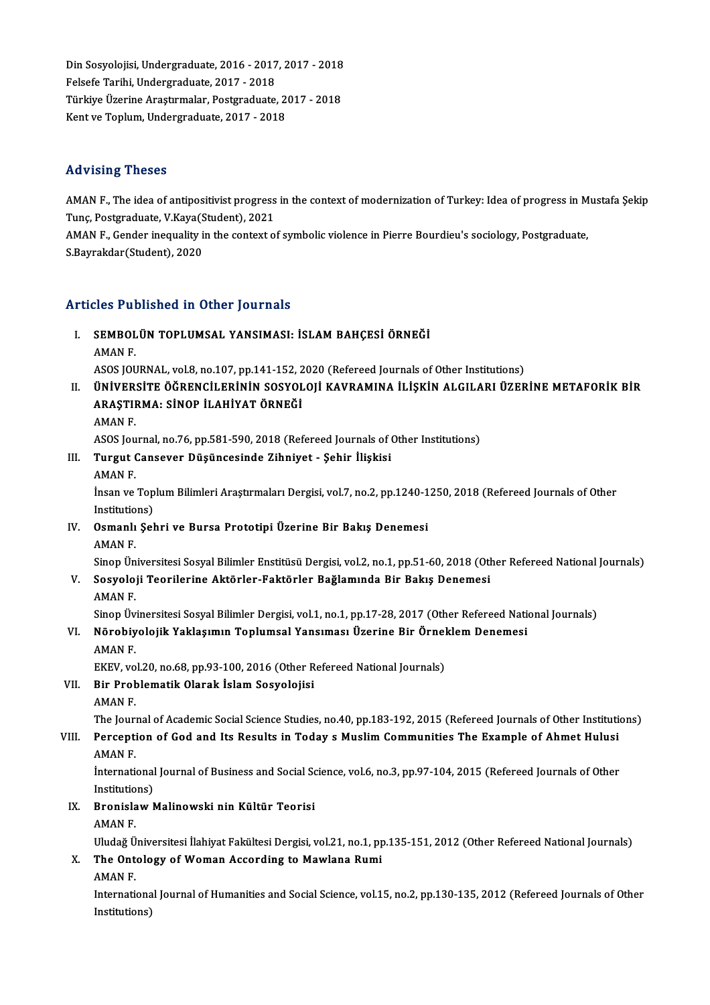Din Sosyolojisi, Undergraduate, 2016 - 2017, 2017 - 2018<br>Felsefe Tarihi, Undergraduate, 2017 - 2018 Din Sosyolojisi, Undergraduate, 2016 - 2017<br>Felsefe Tarihi, Undergraduate, 2017 - 2018<br>Türkiye Üserine Anatumalar, Bestareduate Din Sosyolojisi, Undergraduate, 2016 - 2017, 2017 - 2018<br>Felsefe Tarihi, Undergraduate, 2017 - 2018<br>Türkiye Üzerine Araştırmalar, Postgraduate, 2017 - 2018<br>Kant ve Taplum, Undergraduate, 2017 - 2018 Felsefe Tarihi, Undergraduate, 2017 - 2018<br>Türkiye Üzerine Araştırmalar, Postgraduate, 2017 - 2018<br>Kent ve Toplum, Undergraduate, 2017 - 2018

### Advising Theses

Advising Theses<br>AMAN F., The idea of antipositivist progress in the context of modernization of Turkey: Idea of progress in Mustafa Şekip<br>Tune Bestsreduste *V Kave(St*udent), 2021 Tuny Tuncy<br>2008 - AMAN F., The idea of antipositivist progress<br>Tunç, Postgraduate, V.Kaya(Student), 2021<br>AMAN F., Conder inequality in the context o AMAN F., The idea of antipositivist progress in the context of modernization of Turkey: Idea of progress in M<br>Tunç, Postgraduate, V.Kaya(Student), 2021<br>AMAN F., Gender inequality in the context of symbolic violence in Pier

Tunç, Postgraduate, V.Kaya(S<br>AMAN F., Gender inequality i<br>S.Bayrakdar(Student), 2020

# S.Bayrakdar(Student), 2020<br>Articles Published in Other Journals

Tticles Published in Other Journals<br>I. SEMBOLÜN TOPLUMSAL YANSIMASI: İSLAM BAHÇESİ ÖRNEĞİ SEMBOL<br>SEMBOL<br>AMAN F. AMAN F.<br>ASOS JOURNAL, vol.8, no.107, pp.141-152, 2020 (Refereed Journals of Other Institutions)

AMAN F.<br>ASOS JOURNAL, vol.8, no.107, pp.141-152, 2020 (Refereed Journals of Other Institutions)<br>II. ÜNİVERSİTE ÖĞRENCİLERİNİN SOSYOLOJİ KAVRAMINA İLİŞKİN ALGILARI ÜZERİNE METAFORİK BİR<br>ARASTIRMA: SİNOR İLAHİVAT ÖRNEĞİ ASOS JOURNAL, vol.8, no.107, pp.141-152, 2<br>ÜNİVERSİTE ÖĞRENCİLERİNİN SOSYOL<br>ARAŞTIRMA: SİNOP İLAHİYAT ÖRNEĞİ<br>AMANE ÜNİVER:<br>ARAŞTII<br>AMAN F. ARAŞTIRMA: SİNOP İLAHİYAT ÖRNEĞİ<br>AMAN F.<br>ASOS Journal, no.76, pp.581-590, 2018 (Refereed Journals of Other Institutions)

- III. Turgut Cansever Düşüncesinde Zihniyet Şehir İlişkisi AMANF.
- Turgut Cansever Düşüncesinde Zihniyet Şehir İlişkisi<br>AMAN F.<br>İnsan ve Toplum Bilimleri Araştırmaları Dergisi, vol.7, no.2, pp.1240-1250, 2018 (Refereed Journals of Other<br>Institutione) AMAN F.<br>İnsan ve Top<br>Institutions)<br>Osmanlı Sel
- Insan ve Toplum Bilimleri Araştırmaları Dergisi, vol.7, no.2, pp.1240-1<br>Institutions)<br>IV. Osmanlı Şehri ve Bursa Prototipi Üzerine Bir Bakış Denemesi<br>AMAN E Institutio<br>Osmanlı<br>AMAN F.<br>Sinon Ün

AMAN F.<br>Sinop Üniversitesi Sosyal Bilimler Enstitüsü Dergisi, vol.2, no.1, pp.51-60, 2018 (Other Refereed National Journals)

## AMAN F.<br>Sinop Üniversitesi Sosyal Bilimler Enstitüsü Dergisi, vol.2, no.1, pp.51-60, 2018 (Otl<br>V. Sosyoloji Teorilerine Aktörler-Faktörler Bağlamında Bir Bakış Denemesi<br>AMAN E Sinop Ün<br>Sosyolo<br>AMAN F.<br>Sinop Üv

AMAN F.<br>Sinop Üvinersitesi Sosyal Bilimler Dergisi, vol.1, no.1, pp.17-28, 2017 (Other Refereed National Journals)

## AMAN F.<br>Sinop Üvinersitesi Sosyal Bilimler Dergisi, vol.1, no.1, pp.17-28, 2017 (Other Refereed National VI.<br>VI. Nörobiyolojik Yaklaşımın Toplumsal Yansıması Üzerine Bir Örneklem Denemesi Sinop Üv<br>**Nörobiy**<br>AMAN F.<br>EKEV .vo Nörobiyolojik Yaklaşımın Toplumsal Yansıması Üzerine Bir Örnel<br>AMAN F.<br>EKEV, vol.20, no.68, pp.93-100, 2016 (Other Refereed National Journals)<br>Pir Problematik Olarak İslam Sosyalejisi

## AMAN F.<br>EKEV, vol.20, no.68, pp.93-100, 2016 (Other R<br>VII. Bir Problematik Olarak İslam Sosyolojisi<br>AMAN E EKEV, vo<br>Bir Prot<br>AMAN F.<br>The Jour

AMAN F.<br>The Journal of Academic Social Science Studies, no.40, pp.183-192, 2015 (Refereed Journals of Other Institutions)

## AMAN F.<br>The Journal of Academic Social Science Studies, no.40, pp.183-192, 2015 (Refereed Journals of Other Institution<br>VIII. Perception of God and Its Results in Today s Muslim Communities The Example of Ahmet Hulusion<br>AM The Jour<mark><br>Percepti</mark><br>AMAN F.<br>Internati Perception of God and Its Results in Today s Muslim Communities The Example of Ahmet Hulusi<br>AMAN F.<br>International Journal of Business and Social Science, vol.6, no.3, pp.97-104, 2015 (Refereed Journals of Other<br>Institution

AMAN F.<br>International Journal of Business and Social Science, vol.6, no.3, pp.97-104, 2015 (Refereed Journals of Other Institutions)

IX. Bronislaw Malinowski nin Kültür Teorisi<br>AMAN F.

Bronislaw Malinowski nin Kültür Teorisi<br>AMAN F.<br>Uludağ Üniversitesi İlahiyat Fakültesi Dergisi, vol.21, no.1, pp.135-151, 2012 (Other Refereed National Journals)<br>The Ontelegy of Weman According to Mayılane Rumi

- AMAN F.<br>Uludağ Üniversitesi İlahiyat Fakültesi Dergisi, vol.21, no.1, pp<br>X. The Ontology of Woman According to Mawlana Rumi Uludağ Ü<br>The Ont<br>AMAN F.<br>Interneti
	-

The Ontology of Woman According to Mawlana Rumi<br>AMAN F.<br>International Journal of Humanities and Social Science, vol.15, no.2, pp.130-135, 2012 (Refereed Journals of Other AMAN F.<br>Internationa<br>Institutions)